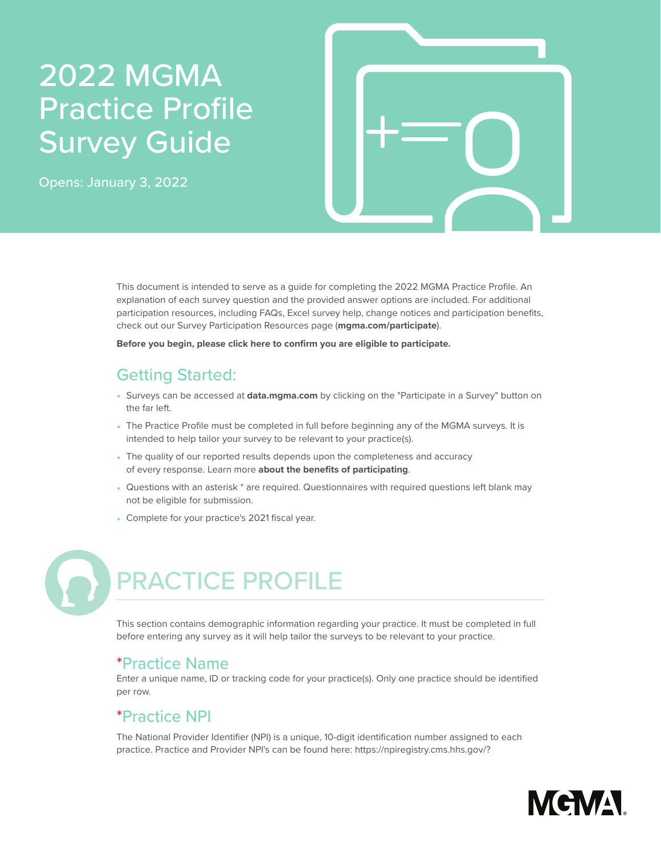# 2022 MGMA Practice Profile Survey Guide

Opens: January 3, 2022



This document is intended to serve as a guide for completing the 2022 MGMA Practice Profile. An explanation of each survey question and the provided answer options are included. For additional participation resources, including FAQs, Excel survey help, change notices and participation benefits, check out our Survey Participation Resources page (**mgma.com/participate**).

**Before you begin, please click here to confirm you are eligible to participate.**

# Getting Started:

- Surveys can be accessed at **data.mgma.com** by clicking on the "Participate in a Survey" button on the far left.
- The Practice Profile must be completed in full before beginning any of the MGMA surveys. It is intended to help tailor your survey to be relevant to your practice(s).
- The quality of our reported results depends upon the completeness and accuracy of every response. Learn more **about the benefits of participating**.
- Questions with an asterisk \* are required. Questionnaires with required questions left blank may not be eligible for submission.
- Complete for your practice's 2021 fiscal year.



This section contains demographic information regarding your practice. It must be completed in full before entering any survey as it will help tailor the surveys to be relevant to your practice.

#### \*Practice Name

Enter a unique name, ID or tracking code for your practice(s). Only one practice should be identified per row.

# \*Practice NPI

The National Provider Identifier (NPI) is a unique, 10-digit identification number assigned to each practice. Practice and Provider NPI's can be found here: https://npiregistry.cms.hhs.gov/?

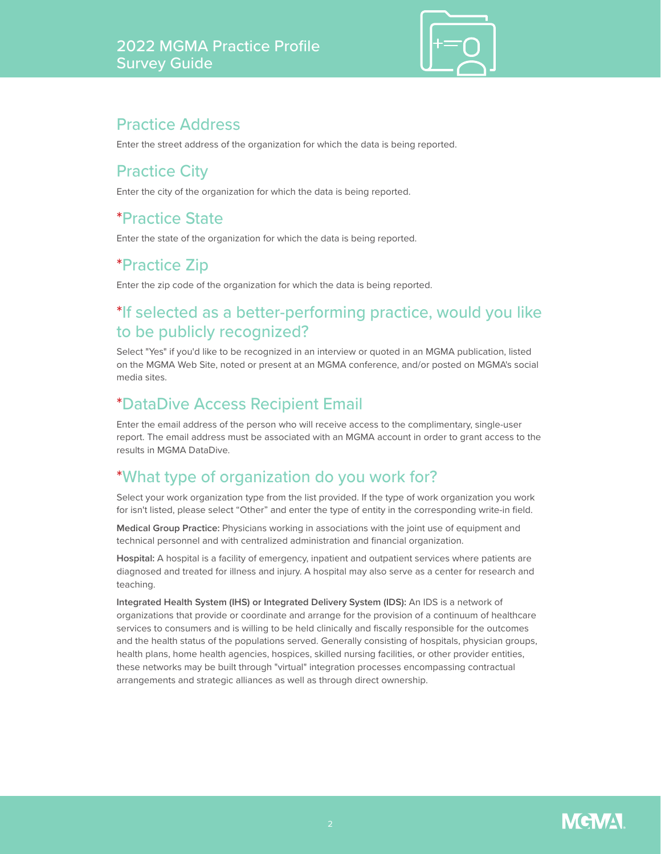

#### Practice Address

Enter the street address of the organization for which the data is being reported.

## Practice City

Enter the city of the organization for which the data is being reported.

# \*Practice State

Enter the state of the organization for which the data is being reported.

## \*Practice Zip

Enter the zip code of the organization for which the data is being reported.

## \*If selected as a better-performing practice, would you like to be publicly recognized?

Select "Yes" if you'd like to be recognized in an interview or quoted in an MGMA publication, listed on the MGMA Web Site, noted or present at an MGMA conference, and/or posted on MGMA's social media sites.

## \*DataDive Access Recipient Email

Enter the email address of the person who will receive access to the complimentary, single-user report. The email address must be associated with an MGMA account in order to grant access to the results in MGMA DataDive.

## \*What type of organization do you work for?

Select your work organization type from the list provided. If the type of work organization you work for isn't listed, please select "Other" and enter the type of entity in the corresponding write-in field.

**Medical Group Practice:** Physicians working in associations with the joint use of equipment and technical personnel and with centralized administration and financial organization.

**Hospital:** A hospital is a facility of emergency, inpatient and outpatient services where patients are diagnosed and treated for illness and injury. A hospital may also serve as a center for research and teaching.

**Integrated Health System (IHS) or Integrated Delivery System (IDS):** An IDS is a network of organizations that provide or coordinate and arrange for the provision of a continuum of healthcare services to consumers and is willing to be held clinically and fiscally responsible for the outcomes and the health status of the populations served. Generally consisting of hospitals, physician groups, health plans, home health agencies, hospices, skilled nursing facilities, or other provider entities, these networks may be built through "virtual" integration processes encompassing contractual arrangements and strategic alliances as well as through direct ownership.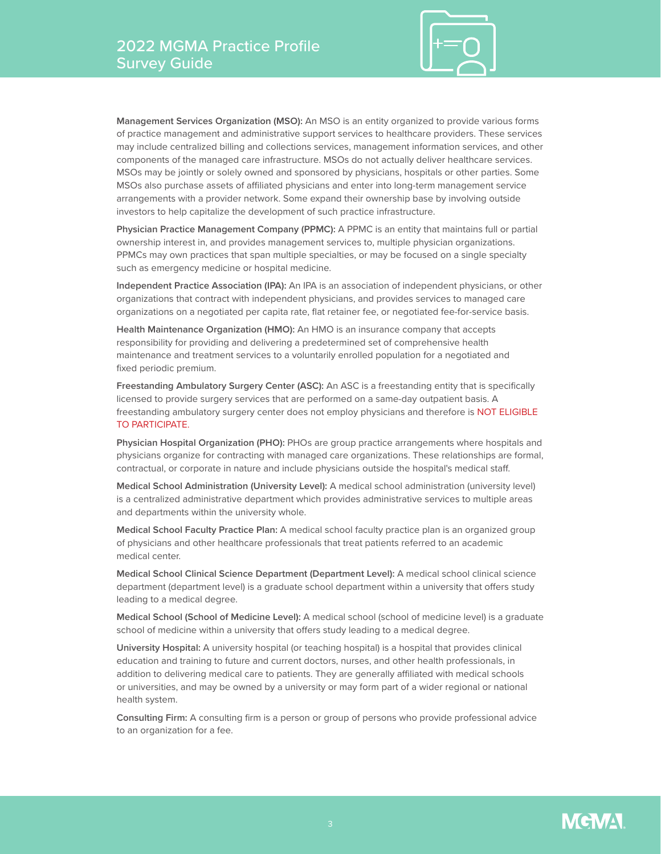

**Management Services Organization (MSO):** An MSO is an entity organized to provide various forms of practice management and administrative support services to healthcare providers. These services may include centralized billing and collections services, management information services, and other components of the managed care infrastructure. MSOs do not actually deliver healthcare services. MSOs may be jointly or solely owned and sponsored by physicians, hospitals or other parties. Some MSOs also purchase assets of affiliated physicians and enter into long-term management service arrangements with a provider network. Some expand their ownership base by involving outside investors to help capitalize the development of such practice infrastructure.

**Physician Practice Management Company (PPMC):** A PPMC is an entity that maintains full or partial ownership interest in, and provides management services to, multiple physician organizations. PPMCs may own practices that span multiple specialties, or may be focused on a single specialty such as emergency medicine or hospital medicine.

**Independent Practice Association (IPA):** An IPA is an association of independent physicians, or other organizations that contract with independent physicians, and provides services to managed care organizations on a negotiated per capita rate, flat retainer fee, or negotiated fee-for-service basis.

**Health Maintenance Organization (HMO):** An HMO is an insurance company that accepts responsibility for providing and delivering a predetermined set of comprehensive health maintenance and treatment services to a voluntarily enrolled population for a negotiated and fixed periodic premium.

**Freestanding Ambulatory Surgery Center (ASC):** An ASC is a freestanding entity that is specifically licensed to provide surgery services that are performed on a same-day outpatient basis. A freestanding ambulatory surgery center does not employ physicians and therefore is NOT ELIGIBLE TO PARTICIPATE.

**Physician Hospital Organization (PHO):** PHOs are group practice arrangements where hospitals and physicians organize for contracting with managed care organizations. These relationships are formal, contractual, or corporate in nature and include physicians outside the hospital's medical staff.

**Medical School Administration (University Level):** A medical school administration (university level) is a centralized administrative department which provides administrative services to multiple areas and departments within the university whole.

**Medical School Faculty Practice Plan:** A medical school faculty practice plan is an organized group of physicians and other healthcare professionals that treat patients referred to an academic medical center.

**Medical School Clinical Science Department (Department Level):** A medical school clinical science department (department level) is a graduate school department within a university that offers study leading to a medical degree.

**Medical School (School of Medicine Level):** A medical school (school of medicine level) is a graduate school of medicine within a university that offers study leading to a medical degree.

**University Hospital:** A university hospital (or teaching hospital) is a hospital that provides clinical education and training to future and current doctors, nurses, and other health professionals, in addition to delivering medical care to patients. They are generally affiliated with medical schools or universities, and may be owned by a university or may form part of a wider regional or national health system.

**Consulting Firm:** A consulting firm is a person or group of persons who provide professional advice to an organization for a fee.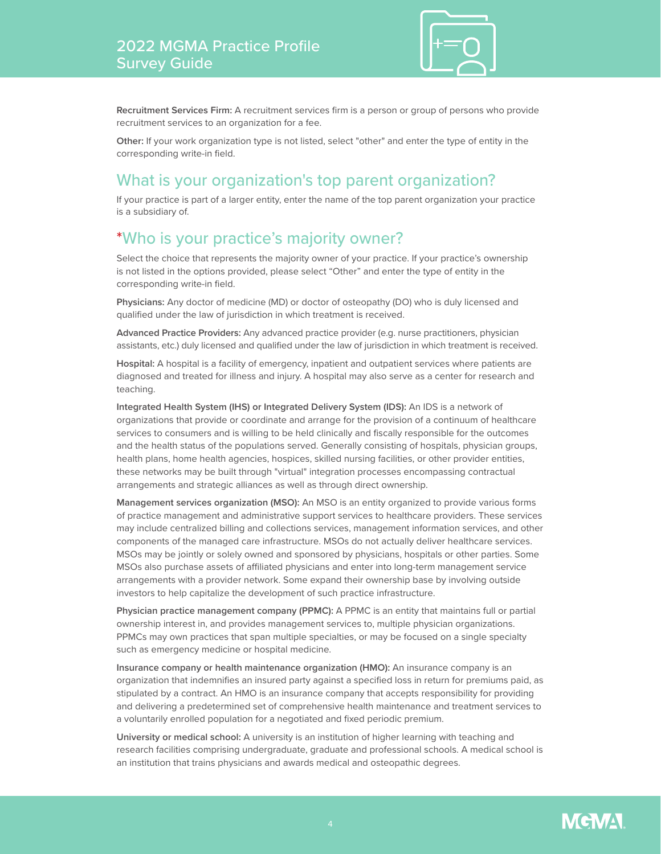

**Recruitment Services Firm:** A recruitment services firm is a person or group of persons who provide recruitment services to an organization for a fee.

**Other:** If your work organization type is not listed, select "other" and enter the type of entity in the corresponding write-in field.

#### What is your organization's top parent organization?

If your practice is part of a larger entity, enter the name of the top parent organization your practice is a subsidiary of.

#### \*Who is your practice's majority owner?

Select the choice that represents the majority owner of your practice. If your practice's ownership is not listed in the options provided, please select "Other" and enter the type of entity in the corresponding write-in field.

**Physicians:** Any doctor of medicine (MD) or doctor of osteopathy (DO) who is duly licensed and qualified under the law of jurisdiction in which treatment is received.

**Advanced Practice Providers:** Any advanced practice provider (e.g. nurse practitioners, physician assistants, etc.) duly licensed and qualified under the law of jurisdiction in which treatment is received.

**Hospital:** A hospital is a facility of emergency, inpatient and outpatient services where patients are diagnosed and treated for illness and injury. A hospital may also serve as a center for research and teaching.

**Integrated Health System (IHS) or Integrated Delivery System (IDS):** An IDS is a network of organizations that provide or coordinate and arrange for the provision of a continuum of healthcare services to consumers and is willing to be held clinically and fiscally responsible for the outcomes and the health status of the populations served. Generally consisting of hospitals, physician groups, health plans, home health agencies, hospices, skilled nursing facilities, or other provider entities, these networks may be built through "virtual" integration processes encompassing contractual arrangements and strategic alliances as well as through direct ownership.

**Management services organization (MSO):** An MSO is an entity organized to provide various forms of practice management and administrative support services to healthcare providers. These services may include centralized billing and collections services, management information services, and other components of the managed care infrastructure. MSOs do not actually deliver healthcare services. MSOs may be jointly or solely owned and sponsored by physicians, hospitals or other parties. Some MSOs also purchase assets of affiliated physicians and enter into long-term management service arrangements with a provider network. Some expand their ownership base by involving outside investors to help capitalize the development of such practice infrastructure.

**Physician practice management company (PPMC):** A PPMC is an entity that maintains full or partial ownership interest in, and provides management services to, multiple physician organizations. PPMCs may own practices that span multiple specialties, or may be focused on a single specialty such as emergency medicine or hospital medicine.

**Insurance company or health maintenance organization (HMO):** An insurance company is an organization that indemnifies an insured party against a specified loss in return for premiums paid, as stipulated by a contract. An HMO is an insurance company that accepts responsibility for providing and delivering a predetermined set of comprehensive health maintenance and treatment services to a voluntarily enrolled population for a negotiated and fixed periodic premium.

**University or medical school:** A university is an institution of higher learning with teaching and research facilities comprising undergraduate, graduate and professional schools. A medical school is an institution that trains physicians and awards medical and osteopathic degrees.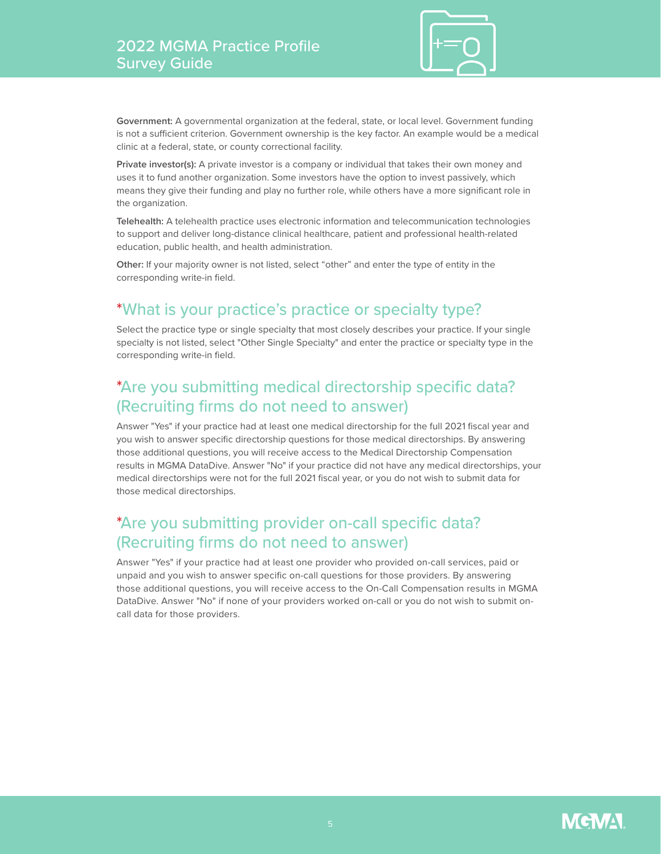

**Government:** A governmental organization at the federal, state, or local level. Government funding is not a sufficient criterion. Government ownership is the key factor. An example would be a medical clinic at a federal, state, or county correctional facility.

**Private investor(s):** A private investor is a company or individual that takes their own money and uses it to fund another organization. Some investors have the option to invest passively, which means they give their funding and play no further role, while others have a more significant role in the organization.

**Telehealth:** A telehealth practice uses electronic information and telecommunication technologies to support and deliver long-distance clinical healthcare, patient and professional health-related education, public health, and health administration.

**Other:** If your majority owner is not listed, select "other" and enter the type of entity in the corresponding write-in field.

#### \*What is your practice's practice or specialty type?

Select the practice type or single specialty that most closely describes your practice. If your single specialty is not listed, select "Other Single Specialty" and enter the practice or specialty type in the corresponding write-in field.

#### \*Are you submitting medical directorship specific data? (Recruiting firms do not need to answer)

Answer "Yes" if your practice had at least one medical directorship for the full 2021 fiscal year and you wish to answer specific directorship questions for those medical directorships. By answering those additional questions, you will receive access to the Medical Directorship Compensation results in MGMA DataDive. Answer "No" if your practice did not have any medical directorships, your medical directorships were not for the full 2021 fiscal year, or you do not wish to submit data for those medical directorships.

#### \*Are you submitting provider on-call specific data? (Recruiting firms do not need to answer)

Answer "Yes" if your practice had at least one provider who provided on-call services, paid or unpaid and you wish to answer specific on-call questions for those providers. By answering those additional questions, you will receive access to the On-Call Compensation results in MGMA DataDive. Answer "No" if none of your providers worked on-call or you do not wish to submit oncall data for those providers.

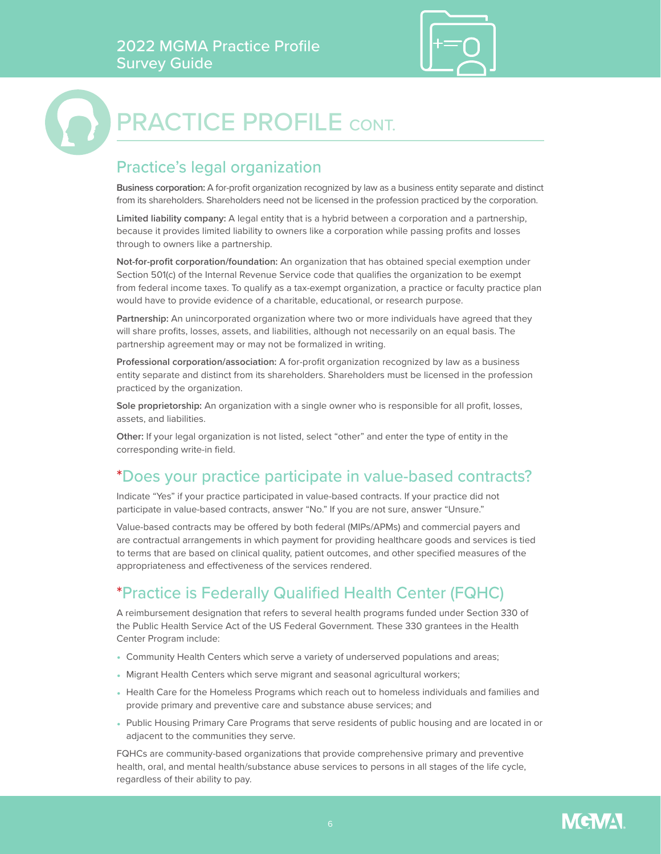#### 2022 MGMA Practice Profile Survey Guide



# PRACTICE PROFILE CONT.

## Practice's legal organization

**Business corporation:** A for-profit organization recognized by law as a business entity separate and distinct from its shareholders. Shareholders need not be licensed in the profession practiced by the corporation.

**Limited liability company:** A legal entity that is a hybrid between a corporation and a partnership, because it provides limited liability to owners like a corporation while passing profits and losses through to owners like a partnership.

**Not-for-profit corporation/foundation:** An organization that has obtained special exemption under Section 501(c) of the Internal Revenue Service code that qualifies the organization to be exempt from federal income taxes. To qualify as a tax-exempt organization, a practice or faculty practice plan would have to provide evidence of a charitable, educational, or research purpose.

**Partnership:** An unincorporated organization where two or more individuals have agreed that they will share profits, losses, assets, and liabilities, although not necessarily on an equal basis. The partnership agreement may or may not be formalized in writing.

**Professional corporation/association:** A for-profit organization recognized by law as a business entity separate and distinct from its shareholders. Shareholders must be licensed in the profession practiced by the organization.

**Sole proprietorship:** An organization with a single owner who is responsible for all profit, losses, assets, and liabilities.

**Other:** If your legal organization is not listed, select "other" and enter the type of entity in the corresponding write-in field.

#### \*Does your practice participate in value-based contracts?

Indicate "Yes" if your practice participated in value-based contracts. If your practice did not participate in value-based contracts, answer "No." If you are not sure, answer "Unsure."

Value-based contracts may be offered by both federal (MIPs/APMs) and commercial payers and are contractual arrangements in which payment for providing healthcare goods and services is tied to terms that are based on clinical quality, patient outcomes, and other specified measures of the appropriateness and effectiveness of the services rendered.

## \*Practice is Federally Qualified Health Center (FQHC)

A reimbursement designation that refers to several health programs funded under Section 330 of the Public Health Service Act of the US Federal Government. These 330 grantees in the Health Center Program include:

- Community Health Centers which serve a variety of underserved populations and areas;
- Migrant Health Centers which serve migrant and seasonal agricultural workers;
- Health Care for the Homeless Programs which reach out to homeless individuals and families and provide primary and preventive care and substance abuse services; and
- Public Housing Primary Care Programs that serve residents of public housing and are located in or adjacent to the communities they serve.

FQHCs are community-based organizations that provide comprehensive primary and preventive health, oral, and mental health/substance abuse services to persons in all stages of the life cycle, regardless of their ability to pay.

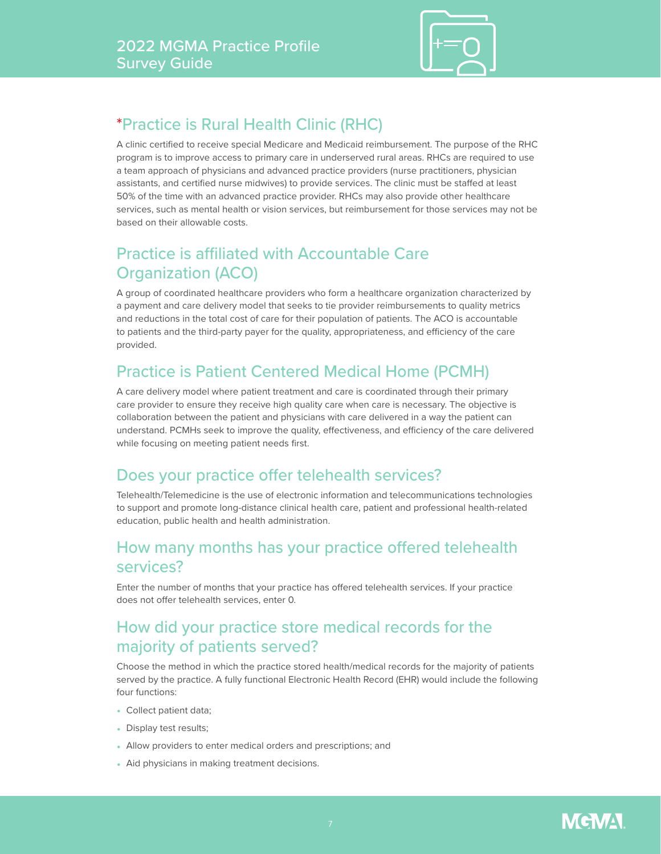

## \*Practice is Rural Health Clinic (RHC)

A clinic certified to receive special Medicare and Medicaid reimbursement. The purpose of the RHC program is to improve access to primary care in underserved rural areas. RHCs are required to use a team approach of physicians and advanced practice providers (nurse practitioners, physician assistants, and certified nurse midwives) to provide services. The clinic must be staffed at least 50% of the time with an advanced practice provider. RHCs may also provide other healthcare services, such as mental health or vision services, but reimbursement for those services may not be based on their allowable costs.

# Practice is affiliated with Accountable Care Organization (ACO)

A group of coordinated healthcare providers who form a healthcare organization characterized by a payment and care delivery model that seeks to tie provider reimbursements to quality metrics and reductions in the total cost of care for their population of patients. The ACO is accountable to patients and the third-party payer for the quality, appropriateness, and efficiency of the care provided.

# Practice is Patient Centered Medical Home (PCMH)

A care delivery model where patient treatment and care is coordinated through their primary care provider to ensure they receive high quality care when care is necessary. The objective is collaboration between the patient and physicians with care delivered in a way the patient can understand. PCMHs seek to improve the quality, effectiveness, and efficiency of the care delivered while focusing on meeting patient needs first.

## Does your practice offer telehealth services?

Telehealth/Telemedicine is the use of electronic information and telecommunications technologies to support and promote long-distance clinical health care, patient and professional health-related education, public health and health administration.

#### How many months has your practice offered telehealth services?

Enter the number of months that your practice has offered telehealth services. If your practice does not offer telehealth services, enter 0.

## How did your practice store medical records for the majority of patients served?

Choose the method in which the practice stored health/medical records for the majority of patients served by the practice. A fully functional Electronic Health Record (EHR) would include the following four functions:

- Collect patient data;
- Display test results;
- Allow providers to enter medical orders and prescriptions; and
- Aid physicians in making treatment decisions.